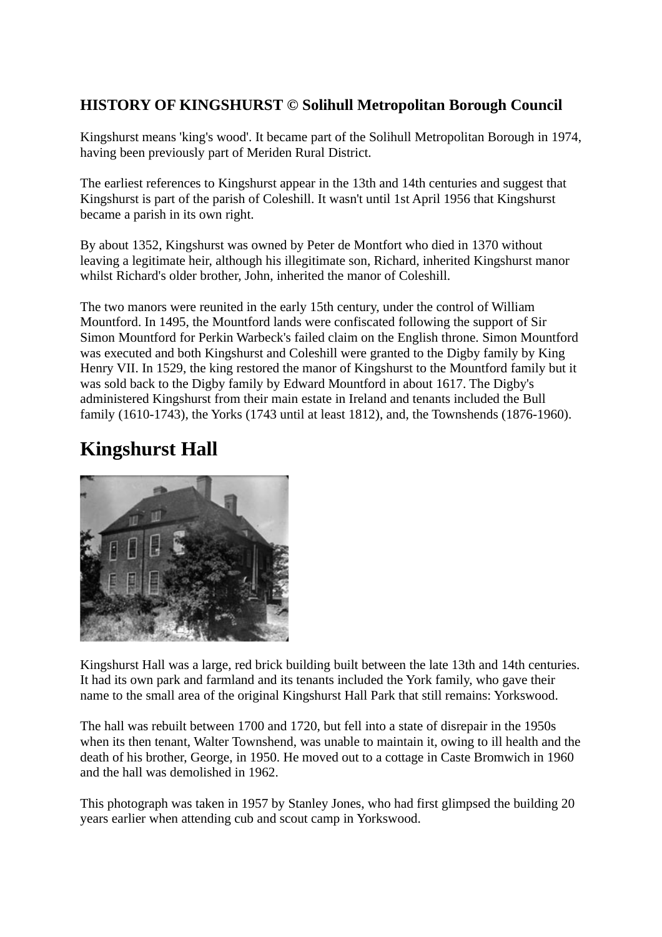#### **HISTORY OF KINGSHURST © Solihull Metropolitan Borough Council**

Kingshurst means 'king's wood'. It became part of the Solihull Metropolitan Borough in 1974, having been previously part of Meriden Rural District.

The earliest references to Kingshurst appear in the 13th and 14th centuries and suggest that Kingshurst is part of the parish of Coleshill. It wasn't until 1st April 1956 that Kingshurst became a parish in its own right.

By about 1352, Kingshurst was owned by Peter de Montfort who died in 1370 without leaving a legitimate heir, although his illegitimate son, Richard, inherited Kingshurst manor whilst Richard's older brother, John, inherited the manor of Coleshill.

The two manors were reunited in the early 15th century, under the control of William Mountford. In 1495, the Mountford lands were confiscated following the support of Sir Simon Mountford for Perkin Warbeck's failed claim on the English throne. Simon Mountford was executed and both Kingshurst and Coleshill were granted to the Digby family by King Henry VII. In 1529, the king restored the manor of Kingshurst to the Mountford family but it was sold back to the Digby family by Edward Mountford in about 1617. The Digby's administered Kingshurst from their main estate in Ireland and tenants included the Bull family (1610-1743), the Yorks (1743 until at least 1812), and, the Townshends (1876-1960).

# **Kingshurst Hall**



Kingshurst Hall was a large, red brick building built between the late 13th and 14th centuries. It had its own park and farmland and its tenants included the York family, who gave their name to the small area of the original Kingshurst Hall Park that still remains: Yorkswood.

The hall was rebuilt between 1700 and 1720, but fell into a state of disrepair in the 1950s when its then tenant, Walter Townshend, was unable to maintain it, owing to ill health and the death of his brother, George, in 1950. He moved out to a cottage in Caste Bromwich in 1960 and the hall was demolished in 1962.

This photograph was taken in 1957 by Stanley Jones, who had first glimpsed the building 20 years earlier when attending cub and scout camp in Yorkswood.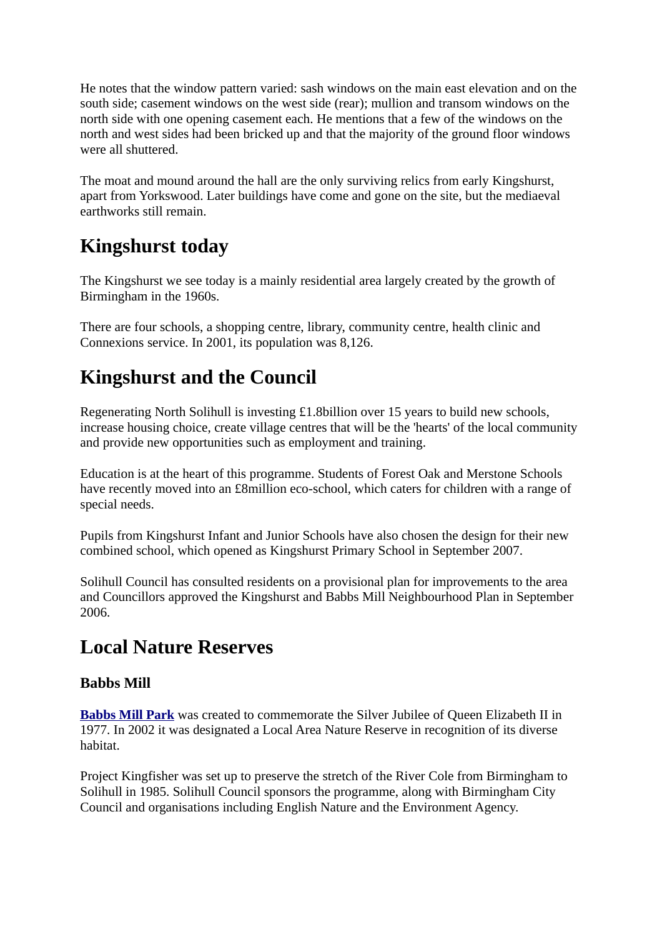He notes that the window pattern varied: sash windows on the main east elevation and on the south side; casement windows on the west side (rear); mullion and transom windows on the north side with one opening casement each. He mentions that a few of the windows on the north and west sides had been bricked up and that the majority of the ground floor windows were all shuttered.

The moat and mound around the hall are the only surviving relics from early Kingshurst, apart from Yorkswood. Later buildings have come and gone on the site, but the mediaeval earthworks still remain.

### **Kingshurst today**

The Kingshurst we see today is a mainly residential area largely created by the growth of Birmingham in the 1960s.

There are four schools, a shopping centre, library, community centre, health clinic and Connexions service. In 2001, its population was 8,126.

# **Kingshurst and the Council**

Regenerating North Solihull is investing £1.8billion over 15 years to build new schools, increase housing choice, create village centres that will be the 'hearts' of the local community and provide new opportunities such as employment and training.

Education is at the heart of this programme. Students of Forest Oak and Merstone Schools have recently moved into an £8million eco-school, which caters for children with a range of special needs.

Pupils from Kingshurst Infant and Junior Schools have also chosen the design for their new combined school, which opened as Kingshurst Primary School in September 2007.

Solihull Council has consulted residents on a provisional plan for improvements to the area and Councillors approved the Kingshurst and Babbs Mill Neighbourhood Plan in September 2006.

### **Local Nature Reserves**

#### **Babbs Mill**

**[Babbs Mill Park](http://www.solihull.gov.uk/parks/babbsmill.htm)** was created to commemorate the Silver Jubilee of Queen Elizabeth II in 1977. In 2002 it was designated a Local Area Nature Reserve in recognition of its diverse habitat.

Project Kingfisher was set up to preserve the stretch of the River Cole from Birmingham to Solihull in 1985. Solihull Council sponsors the programme, along with Birmingham City Council and organisations including English Nature and the Environment Agency.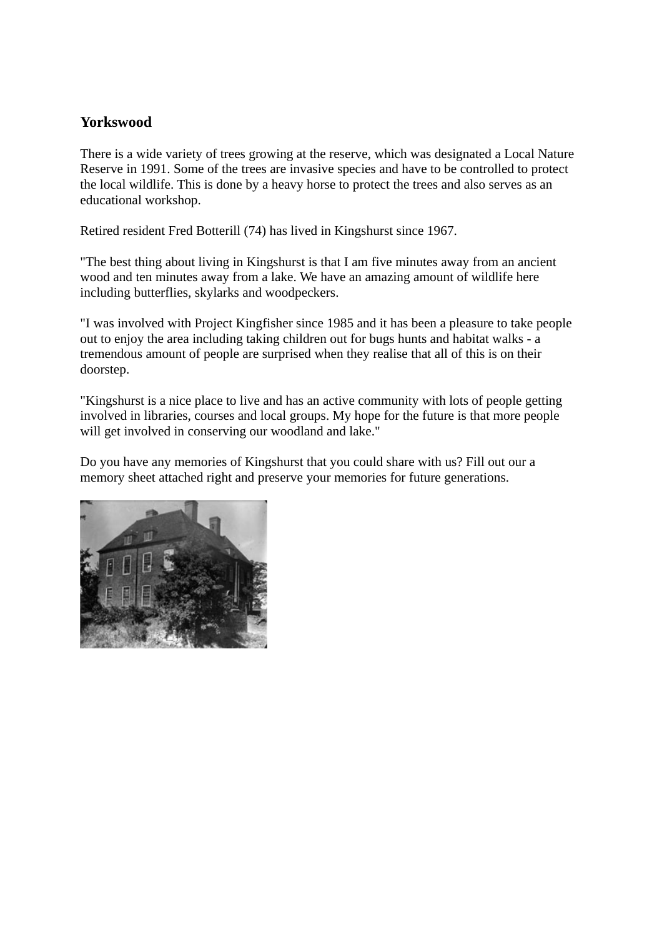#### **Yorkswood**

There is a wide variety of trees growing at the reserve, which was designated a Local Nature Reserve in 1991. Some of the trees are invasive species and have to be controlled to protect the local wildlife. This is done by a heavy horse to protect the trees and also serves as an educational workshop.

Retired resident Fred Botterill (74) has lived in Kingshurst since 1967.

"The best thing about living in Kingshurst is that I am five minutes away from an ancient wood and ten minutes away from a lake. We have an amazing amount of wildlife here including butterflies, skylarks and woodpeckers.

"I was involved with Project Kingfisher since 1985 and it has been a pleasure to take people out to enjoy the area including taking children out for bugs hunts and habitat walks - a tremendous amount of people are surprised when they realise that all of this is on their doorstep.

"Kingshurst is a nice place to live and has an active community with lots of people getting involved in libraries, courses and local groups. My hope for the future is that more people will get involved in conserving our woodland and lake."

Do you have any memories of Kingshurst that you could share with us? Fill out our a memory sheet attached right and preserve your memories for future generations.